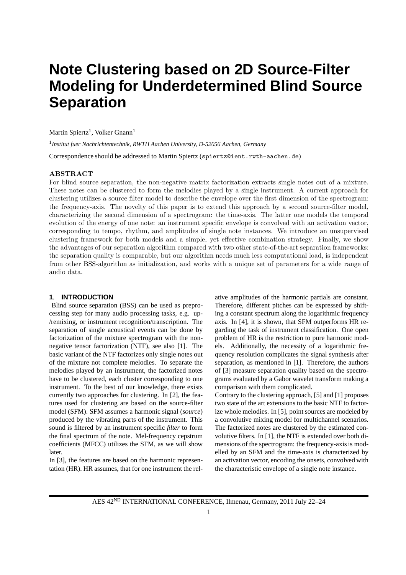# **Note Clustering based on 2D Source-Filter Modeling for Underdetermined Blind Source Separation**

Martin Spiertz<sup>1</sup>, Volker Gnann<sup>1</sup>

1 *Institut fuer Nachrichtentechnik, RWTH Aachen University, D-52056 Aachen, Germany*

Correspondence should be addressed to Martin Spiertz (spiertz@ient.rwth-aachen.de)

## ABSTRACT

For blind source separation, the non-negative matrix factorization extracts single notes out of a mixture. These notes can be clustered to form the melodies played by a single instrument. A current approach for clustering utilizes a source filter model to describe the envelope over the first dimension of the spectrogram: the frequency-axis. The novelty of this paper is to extend this approach by a second source-filter model, characterizing the second dimension of a spectrogram: the time-axis. The latter one models the temporal evolution of the energy of one note: an instrument specific envelope is convolved with an activation vector, corresponding to tempo, rhythm, and amplitudes of single note instances. We introduce an unsupervised clustering framework for both models and a simple, yet effective combination strategy. Finally, we show the advantages of our separation algorithm compared with two other state-of-the-art separation frameworks: the separation quality is comparable, but our algorithm needs much less computational load, is independent from other BSS-algorithm as initialization, and works with a unique set of parameters for a wide range of audio data.

# **1**. **INTRODUCTION**

Blind source separation (BSS) can be used as preprocessing step for many audio processing tasks, e.g. up- /remixing, or instrument recognition/transcription. The separation of single acoustical events can be done by factorization of the mixture spectrogram with the nonnegative tensor factorization (NTF), see also [1]. The basic variant of the NTF factorizes only single notes out of the mixture not complete melodies. To separate the melodies played by an instrument, the factorized notes have to be clustered, each cluster corresponding to one instrument. To the best of our knowledge, there exists currently two approaches for clustering. In [2], the features used for clustering are based on the source-filter model (SFM). SFM assumes a harmonic signal (*source*) produced by the vibrating parts of the instrument. This sound is filtered by an instrument specific *filter* to form the final spectrum of the note. Mel-frequency cepstrum coefficients (MFCC) utilizes the SFM, as we will show later.

In [3], the features are based on the harmonic representation (HR). HR assumes, that for one instrument the rel-

ative amplitudes of the harmonic partials are constant. Therefore, different pitches can be expressed by shifting a constant spectrum along the logarithmic frequency axis. In [4], it is shown, that SFM outperforms HR regarding the task of instrument classification. One open problem of HR is the restriction to pure harmonic models. Additionally, the necessity of a logarithmic frequency resolution complicates the signal synthesis after separation, as mentioned in [1]. Therefore, the authors of [3] measure separation quality based on the spectrograms evaluated by a Gabor wavelet transform making a comparison with them complicated.

Contrary to the clustering approach, [5] and [1] proposes two state of the art extensions to the basic NTF to factorize whole melodies. In [5], point sources are modeled by a convolutive mixing model for multichannel scenarios. The factorized notes are clustered by the estimated convolutive filters. In [1], the NTF is extended over both dimensions of the spectrogram: the frequency-axis is modelled by an SFM and the time-axis is characterized by an activation vector, encoding the onsets, convolved with the characteristic envelope of a single note instance.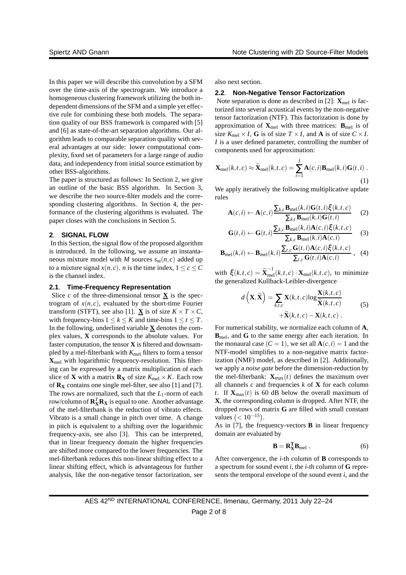In this paper we will describe this convolution by a SFM over the time-axis of the spectrogram. We introduce a homogeneous clustering framework utilizing the both independent dimensions of the SFM and a simple yet effective rule for combining these both models. The separation quality of our BSS framework is compared with [5] and [6] as state-of-the-art separation algorithms. Our algorithm leads to comparable separation quality with several advantages at our side: lower computational complexity, fixed set of parameters for a large range of audio data, and independency from initial source estimation by other BSS-algorithms.

The paper is structured as follows: In Section 2, we give an outline of the basic BSS algorithm. In Section 3, we describe the two source-filter models and the corresponding clustering algorithms. In Section 4, the performance of the clustering algorithms is evaluated. The paper closes with the conclusions in Section 5.

# **2**. **SIGNAL FLOW**

In this Section, the signal flow of the proposed algorithm is introduced. In the following, we assume an instantaneous mixture model with *M* sources  $s_m(n, c)$  added up to a mixture signal  $x(n, c)$ . *n* is the time index,  $1 \leq c \leq C$ is the channel index.

#### **2.1**. **Time-Frequency Representation**

Slice  $c$  of the three-dimensional tensor  $\bf{X}$  is the spectrogram of  $x(n, c)$ , evaluated by the short-time Fourier transform (STFT), see also [1]. **X** is of size  $K \times T \times C$ , with frequency-bins  $1 \leq k \leq K$  and time-bins  $1 \leq t \leq T$ . In the following, underlined variable  $\underline{\mathbf{X}}$  denotes the complex values, **X** corresponds to the absolute values. For faster computation, the tensor **X** is filtered and downsampled by a mel-filterbank with  $K_{\text{mel}}$  filters to form a tensor **X**mel with logarithmic frequency-resolution. This filtering can be expressed by a matrix multiplication of each slice of **X** with a matrix  $\mathbf{R}_{\mathbf{X}}$  of size  $K_{\text{mel}} \times K$ . Each row of  $\mathbf{R}_{\mathbf{X}}$  contains one single mel-filter, see also [1] and [7]. The rows are normalized, such that the  $L_1$ -norm of each row/column of  $\mathbf{R}_{\mathbf{X}}^T \mathbf{R}_{\mathbf{X}}$  is equal to one. Another advantage of the mel-filterbank is the reduction of vibrato effects. Vibrato is a small change in pitch over time. A change in pitch is equivalent to a shifting over the logarithmic frequency-axis, see also [3]. This can be interpreted, that in linear frequency domain the higher frequencies are shifted more compared to the lower frequencies. The mel-filterbank reduces this non-linear shifting effect to a linear shifting effect, which is advantageous for further analysis, like the non-negative tensor factorization, see also next section.

#### **2.2**. **Non-Negative Tensor Factorization**

Note separation is done as described in [2]:  $\mathbf{X}_{\text{mel}}$  is factorized into several acoustical events by the non-negative tensor factorization (NTF). This factorization is done by approximation of  $X_{\text{mel}}$  with three matrices:  $B_{\text{mel}}$  is of size  $K_{\text{mel}} \times I$ , **G** is of size  $T \times I$ , and **A** is of size  $C \times I$ . *I* is a user defined parameter, controlling the number of components used for approximation:

$$
\mathbf{X}_{\text{mel}}(k,t,c) \approx \widetilde{\mathbf{X}}_{\text{mel}}(k,t,c) = \sum_{i=1}^{I} \mathbf{A}(c,i) \mathbf{B}_{\text{mel}}(k,i) \mathbf{G}(t,i) .
$$
\n(1)

We apply iteratively the following multiplicative update rules

$$
\mathbf{A}(c,i) \leftarrow \mathbf{A}(c,i) \frac{\sum_{k,t} \mathbf{B}_{\text{mel}}(k,i) \mathbf{G}(t,i) \xi(k,t,c)}{\sum_{k,t} \mathbf{B}_{\text{mel}}(k,i) \mathbf{G}(t,i)} \tag{2}
$$

$$
\mathbf{G}(t,i) \leftarrow \mathbf{G}(t,i) \frac{\sum_{k,c} \mathbf{B}_{\text{mel}}(k,i) \mathbf{A}(c,i) \xi(k,t,c)}{\sum_{k,c} \mathbf{B}_{\text{mel}}(k,i) \mathbf{A}(c,i)} \tag{3}
$$

$$
\mathbf{B}_{\text{mel}}(k,i) \leftarrow \mathbf{B}_{\text{mel}}(k,i) \frac{\sum_{t,c} \mathbf{G}(t,i) \mathbf{A}(c,i) \xi(k,t,c)}{\sum_{t,c} \mathbf{G}(t,i) \mathbf{A}(c,i)}, \quad (4)
$$

with  $\xi(k,t,c) = \widetilde{\mathbf{X}}_{\text{mel}}^{-1}(k,t,c) \cdot \mathbf{X}_{\text{mel}}(k,t,c)$ , to minimize the generalized Kullback-Leibler-divergence

$$
d\left(\mathbf{X}, \widetilde{\mathbf{X}}\right) = \sum_{k,t,c} \mathbf{X}(k,t,c) \log \frac{\mathbf{X}(k,t,c)}{\widetilde{\mathbf{X}}(k,t,c)} + \widetilde{\mathbf{X}}(k,t,c) - \mathbf{X}(k,t,c) \tag{5}
$$

For numerical stability, we normalize each column of **A**, **B**mel, and **G** to the same energy after each iteration. In the monaural case  $(C = 1)$ , we set all  $A(c, i) = 1$  and the NTF-model simplifies to a non-negative matrix factorization (NMF) model, as described in [2]. Additionally, we apply a *noise gate* before the dimension-reduction by the mel-filterbank:  $\mathbf{X}_{\text{max}}(t)$  defines the maximum over all channels *c* and frequencies *k* of **X** for each column *t*. If  $\mathbf{X}_{\text{max}}(t)$  is 60 dB below the overall maximum of **X**, the corresponding column is dropped. After NTF, the dropped rows of matrix **G** are filled with small constant values  $(< 10^{-15})$ .

As in [7], the frequency-vectors **B** in linear frequency domain are evaluated by

$$
\mathbf{B} = \mathbf{R}_{\mathbf{X}}^{\mathbf{T}} \mathbf{B}_{\text{mel}} \,. \tag{6}
$$

After convergence, the *i*-th column of **B** corresponds to a spectrum for sound event *i*, the *i*-th column of **G** represents the temporal envelope of the sound event *i*, and the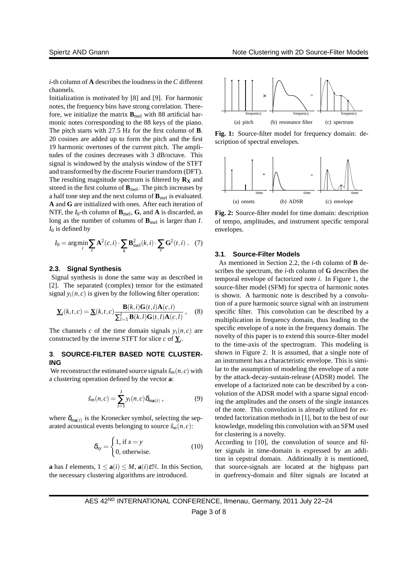*i*-th column of **A** describes the loudness in the*C* different channels.

Initialization is motivated by [8] and [9]. For harmonic notes, the frequency bins have strong correlation. Therefore, we initialize the matrix  $\mathbf{B}_{\text{mel}}$  with 88 artificial harmonic notes corresponding to the 88 keys of the piano. The pitch starts with 27.5 Hz for the first column of **B**. 20 cosines are added up to form the pitch and the first 19 harmonic overtones of the current pitch. The amplitudes of the cosines decreases with 3 dB/octave. This signal is windowed by the analysis window of the STFT and transformed by the discrete Fourier transform (DFT). The resulting magnitude spectrum is filtered by  $\mathbf{R}_{\mathbf{X}}$  and stored in the first column of **B**mel. The pitch increases by a half tone step and the next column of **B**mel is evaluated. **A** and **G** are initialized with ones. After each iteration of NTF, the  $I_0$ -th column of  $\mathbf{B}_{\text{mel}}$ ,  $\mathbf{G}$ , and  $\mathbf{A}$  is discarded, as long as the number of columns of  $\mathbf{B}_{\text{mel}}$  is larger than *I*.  $I_0$  is defined by

$$
I_0 = \arg\min_i \sum_c \mathbf{A}^2(c, i) \cdot \sum_k \mathbf{B}_{\text{mel}}^2(k, i) \cdot \sum_t \mathbf{G}^2(t, i) \ . \tag{7}
$$

# **2.3**. **Signal Synthesis**

Signal synthesis is done the same way as described in [2]. The separated (complex) tensor for the estimated signal  $y_i(n, c)$  is given by the following filter operation:

$$
\underline{\mathbf{Y}}_i(k,t,c) = \underline{\mathbf{X}}(k,t,c) \frac{\mathbf{B}(k,i)\mathbf{G}(t,i)\mathbf{A}(c,i)}{\sum_{l=1}^I \mathbf{B}(k,l)\mathbf{G}(t,l)\mathbf{A}(c,l)},
$$
(8)

The channels *c* of the time domain signals  $y_i(n, c)$  are constructed by the inverse STFT for slice  $c$  of  $\underline{Y}_i$ .

# **3**. **SOURCE-FILTER BASED NOTE CLUSTER-ING**

We reconstruct the estimated source signals  $\tilde{s}_m(n, c)$  with a clustering operation defined by the vector **a**:

$$
\tilde{s}_m(n,c) = \sum_{i=1}^I y_i(n,c) \delta_{m\mathbf{a}(i)}, \qquad (9)
$$

where  $\delta_{ma(i)}$  is the Kronecker symbol, selecting the separated acoustical events belonging to source  $\tilde{s}_m(n,c)$ :

$$
\delta_{xy} = \begin{cases} 1, \text{ if } x = y \\ 0, \text{ otherwise.} \end{cases}
$$
 (10)

**a** has *I* elements,  $1 \le a(i) \le M$ ,  $a(i)\in \mathbb{N}$ . In this Section, the necessary clustering algorithms are introduced.



**Fig. 1:** Source-filter model for frequency domain: description of spectral envelopes.



**Fig. 2:** Source-filter model for time domain: description of tempo, amplitudes, and instrument specific temporal envelopes.

#### **3.1**. **Source-Filter Models**

As mentioned in Section 2.2, the *i*-th column of **B** describes the spectrum, the *i*-th column of **G** describes the temporal envelope of factorized note *i*. In Figure 1, the source-filter model (SFM) for spectra of harmonic notes is shown. A harmonic note is described by a convolution of a pure harmonic source signal with an instrument specific filter. This convolution can be described by a multiplication in frequency domain, thus leading to the specific envelope of a note in the frequency domain. The novelty of this paper is to extend this source-filter model to the time-axis of the spectrogram. This modeling is shown in Figure 2. It is assumed, that a single note of an instrument has a characteristic envelope. This is similar to the assumption of modeling the envelope of a note by the attack-decay-sustain-release (ADSR) model. The envelope of a factorized note can be described by a convolution of the ADSR model with a sparse signal encoding the amplitudes and the onsets of the single instances of the note. This convolution is already utilized for extended factorization methods in [1], but to the best of our knowledge, modeling this convolution with an SFM used for clustering is a novelty.

According to [10], the convolution of source and filter signals in time-domain is expressed by an addition in cepstral domain. Additionally it is mentioned, that source-signals are located at the highpass part in quefrency-domain and filter signals are located at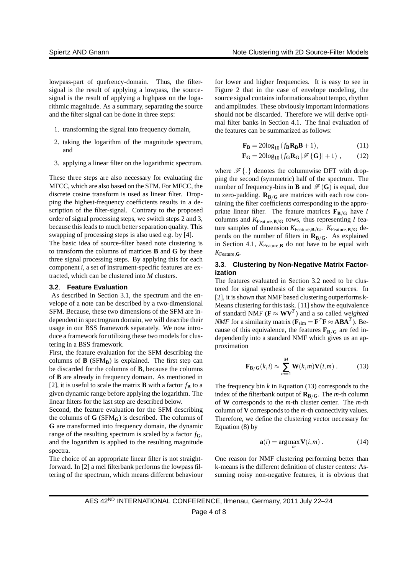lowpass-part of quefrency-domain. Thus, the filtersignal is the result of applying a lowpass, the sourcesignal is the result of applying a highpass on the logarithmic magnitude. As a summary, separating the source and the filter signal can be done in three steps:

- 1. transforming the signal into frequency domain,
- 2. taking the logarithm of the magnitude spectrum, and
- 3. applying a linear filter on the logarithmic spectrum.

These three steps are also necessary for evaluating the MFCC, which are also based on the SFM. For MFCC, the discrete cosine transform is used as linear filter. Dropping the highest-frequency coefficients results in a description of the filter-signal. Contrary to the proposed order of signal processing steps, we switch steps 2 and 3, because this leads to much better separation quality. This swapping of processing steps is also used e.g. by [4].

The basic idea of source-filter based note clustering is to transform the columns of matrices **B** and **G** by these three signal processing steps. By applying this for each component *i*, a set of instrument-specific features are extracted, which can be clustered into *M* clusters.

#### **3.2**. **Feature Evaluation**

As described in Section 3.1, the spectrum and the envelope of a note can be described by a two-dimensional SFM. Because, these two dimensions of the SFM are independent in spectrogram domain, we will describe their usage in our BSS framework separately. We now introduce a framework for utilizing these two models for clustering in a BSS framework.

First, the feature evaluation for the SFM describing the columns of  $\bf{B}$  (SFM $\bf{B}$ ) is explained. The first step can be discarded for the columns of **B**, because the columns of **B** are already in frequency domain. As mentioned in [2], it is useful to scale the matrix **B** with a factor  $f_{\mathbf{B}}$  to a given dynamic range before applying the logarithm. The linear filters for the last step are described below.

Second, the feature evaluation for the SFM describing the columns of  $G(SFM_G)$  is described. The columns of **G** are transformed into frequency domain, the dynamic range of the resulting spectrum is scaled by a factor  $f_{\mathbf{G}}$ , and the logarithm is applied to the resulting magnitude spectra.

The choice of an appropriate linear filter is not straightforward. In [2] a mel filterbank performs the lowpass filtering of the spectrum, which means different behaviour

for lower and higher frequencies. It is easy to see in Figure 2 that in the case of envelope modeling, the source signal contains informations about tempo, rhythm and amplitudes. These obviously important informations should not be discarded. Therefore we will derive optimal filter banks in Section 4.1. The final evaluation of the features can be summarized as follows:

$$
\mathbf{F_B} = 20\log_{10}\left(f_B \mathbf{R_B} \mathbf{B} + 1\right),\tag{11}
$$

$$
\mathbf{F}_{\mathbf{G}} = 20\log_{10} \left( f_{\mathbf{G}} \mathbf{R}_{\mathbf{G}} \left| \mathcal{F} \{ \mathbf{G} \} \right| + 1 \right) , \tag{12}
$$

where  $\mathscr{F}\{\cdot\}$  denotes the columnwise DFT with dropping the second (symmetric) half of the spectrum. The number of frequency-bins in **B** and  $\mathscr{F}(\mathbf{G})$  is equal, due to zero-padding.  $\mathbf{R}_{\mathbf{B}/\mathbf{G}}$  are matrices with each row containing the filter coefficients corresponding to the appropriate linear filter. The feature matrices  $\mathbf{F}_{\mathbf{B}/\mathbf{G}}$  have *I* columns and  $K_{\text{Feature}, \mathbf{B}/\mathbf{G}}$  rows, thus representing *I* feature samples of dimension  $K_{\text{Feature},\mathbf{B}/\mathbf{G}}$ .  $K_{\text{Feature},\mathbf{B}/\mathbf{G}}$  depends on the number of filters in  $\mathbf{R}_{\mathbf{B}/\mathbf{G}}$ . As explained in Section 4.1,  $K_{\text{Feature},\mathbf{B}}$  do not have to be equal with  $K_{\text{Feature}}$ **G**.

# **3.3**. **Clustering by Non-Negative Matrix Factorization**

The features evaluated in Section 3.2 need to be clustered for signal synthesis of the separated sources. In [2], it is shown that NMF based clustering outperforms k-Means clustering for this task. [11] show the equivalence of standard NMF ( $\mathbf{F} \approx \mathbf{W} \mathbf{V}^T$ ) and a so called *weighted NMF* for a similarity matrix ( $\mathbf{F}_{sim} = \mathbf{F}^T \mathbf{F} \approx \mathbf{A} \mathbf{B} \mathbf{A}^T$ ). Because of this equivalence, the features  $\mathbf{F}_{\mathbf{B}/\mathbf{G}}$  are fed independently into a standard NMF which gives us an approximation

$$
\mathbf{F}_{\mathbf{B}/\mathbf{G}}(k,i) \approx \sum_{m=1}^{M} \mathbf{W}(k,m) \mathbf{V}(i,m) .
$$
 (13)

The frequency bin  $k$  in Equation (13) corresponds to the index of the filterbank output of  $\mathbf{R}_{\mathbf{B}/\mathbf{G}}$ . The *m*-th column of **W** corresponds to the *m*-th cluster center. The *m*-th column of **V** corresponds to the *m*-th connectivity values. Therefore, we define the clustering vector necessary for Equation (8) by

$$
\mathbf{a}(i) = \underset{m}{\arg\max} \mathbf{V}(i,m) . \tag{14}
$$

One reason for NMF clustering performing better than k-means is the different definition of cluster centers: Assuming noisy non-negative features, it is obvious that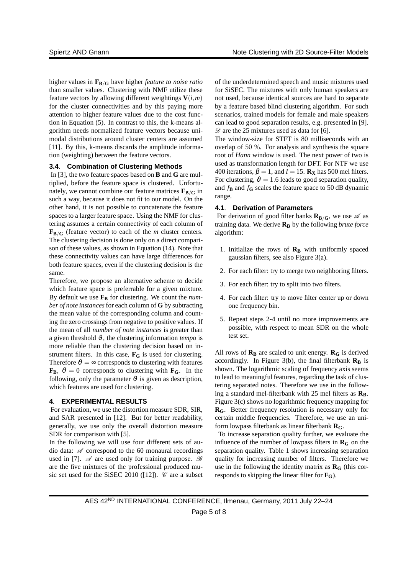higher values in **FB**/**<sup>G</sup>** have higher *feature to noise ratio* than smaller values. Clustering with NMF utilize these feature vectors by allowing different weightings  $V(i, m)$ for the cluster connectivities and by this paying more attention to higher feature values due to the cost function in Equation (5). In contrast to this, the k-means algorithm needs normalized feature vectors because unimodal distributions around cluster centers are assumed [11]. By this, k-means discards the amplitude information (weighting) between the feature vectors.

## **3.4**. **Combination of Clustering Methods**

In [3], the two feature spaces based on **B** and **G** are multiplied, before the feature space is clustered. Unfortunately, we cannot combine our feature matrices  $\mathbf{F}_{\mathbf{B}/\mathbf{G}}$  in such a way, because it does not fit to our model. On the other hand, it is not possible to concatenate the feature spaces to a larger feature space. Using the NMF for clustering assumes a certain connectivity of each column of  $\mathbf{F}_{\mathbf{B}/\mathbf{G}}$  (feature vector) to each of the *m* cluster centers. The clustering decision is done only on a direct comparison of these values, as shown in Equation (14). Note that these connectivity values can have large differences for both feature spaces, even if the clustering decision is the same.

Therefore, we propose an alternative scheme to decide which feature space is preferrable for a given mixture. By default we use  $\mathbf{F}_{\mathbf{B}}$  for clustering. We count the *number of note instances*for each column of **G** by subtracting the mean value of the corresponding column and counting the zero crossings from negative to positive values. If the mean of all *number of note instances* is greater than a given threshold  $\vartheta$ , the clustering information *tempo* is more reliable than the clustering decision based on instrument filters. In this case, **F<sup>G</sup>** is used for clustering. Therefore  $\vartheta = \infty$  corresponds to clustering with features  $\mathbf{F}_{\mathbf{B}}$ ,  $\vartheta = 0$  corresponds to clustering with  $\mathbf{F}_{\mathbf{G}}$ . In the following, only the parameter  $\vartheta$  is given as description, which features are used for clustering.

# **4**. **EXPERIMENTAL RESULTS**

For evaluation, we use the distortion measure SDR, SIR, and SAR presented in [12]. But for better readability, generally, we use only the overall distortion measure SDR for comparison with [5].

In the following we will use four different sets of audio data:  $\mathscr A$  correspond to the 60 monaural recordings used in [7].  $\mathscr A$  are used only for training purpose.  $\mathscr B$ are the five mixtures of the professional produced music set used for the SiSEC 2010 ([12]).  $\mathscr C$  are a subset

of the underdetermined speech and music mixtures used for SiSEC. The mixtures with only human speakers are not used, because identical sources are hard to separate by a feature based blind clustering algorithm. For such scenarios, trained models for female and male speakers can lead to good separation results, e.g. presented in [9].  $\mathscr{D}$  are the 25 mixtures used as data for [6].

The window-size for STFT is 80 milliseconds with an overlap of 50 %. For analysis and synthesis the square root of *Hann* window is used. The next power of two is used as transformation length for DFT. For NTF we use 400 iterations,  $\beta = 1$ , and  $I = 15$ . **Rx** has 500 mel filters. For clustering,  $\vartheta = 1.6$  leads to good separation quality, and  $f_{\bf{B}}$  and  $f_{\bf{G}}$  scales the feature space to 50 dB dynamic range.

#### **4.1**. **Derivation of Parameters**

For derivation of good filter banks  $\mathbf{R}_{\mathbf{B}/\mathbf{G}}$ , we use  $\mathcal{A}$  as training data. We derive **R<sup>B</sup>** by the following *brute force* algorithm:

- 1. Initialize the rows of **R<sup>B</sup>** with uniformly spaced gaussian filters, see also Figure 3(a).
- 2. For each filter: try to merge two neighboring filters.
- 3. For each filter: try to split into two filters.
- 4. For each filter: try to move filter center up or down one frequency bin.
- 5. Repeat steps 2-4 until no more improvements are possible, with respect to mean SDR on the whole test set.

All rows of  $\mathbf{R}_B$  are scaled to unit energy.  $\mathbf{R}_G$  is derived accordingly. In Figure  $3(b)$ , the final filterbank  $\mathbf{R}_\mathbf{B}$  is shown. The logarithmic scaling of frequency axis seems to lead to meaningful features, regarding the task of clustering separated notes. Therefore we use in the following a standard mel-filterbank with  $25$  mel filters as  $\mathbf{R}_{\text{B}}$ . Figure 3(c) shows no logarithmic frequency mapping for **RG**. Better frequency resolution is necessary only for certain middle frequencies. Therefore, we use an uniform lowpass filterbank as linear filterbank **RG**.

To increase separation quality further, we evaluate the influence of the number of lowpass filters in  $\mathbf{R}_{\mathbf{G}}$  on the separation quality. Table 1 shows increasing separation quality for increasing number of filters. Therefore we use in the following the identity matrix as  $\mathbf{R}_{\mathbf{G}}$  (this corresponds to skipping the linear filter for  $\mathbf{F}_{\mathbf{G}}$ ).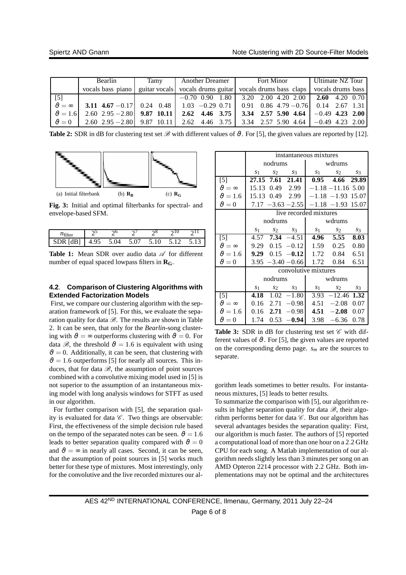|                      | Bearlin                            | Tamy | <b>Another Dreamer</b> 1 | <b>Fort Minor</b>                                                                     | Ultimate NZ Tour  |
|----------------------|------------------------------------|------|--------------------------|---------------------------------------------------------------------------------------|-------------------|
|                      | vocals bass piano                  |      |                          | guitar vocals vocals drums guitar vocals drums bass claps                             | vocals drums bass |
| $[5]$                |                                    |      |                          | $-0.70$ 0.90 1.80   3.20 2.00 4.20 2.00   2.60 4.20 0.70                              |                   |
| $\vartheta = \infty$ |                                    |      |                          | <b>3.11 4.67</b> -0.17 0.24 0.48 1.03 -0.29 0.71 0.91 0.86 4.79 -0.76 0.14 2.67 1.31  |                   |
| $\vartheta = 1.6$    | 2.60 2.95 - 2.80 <b>9.87 10.11</b> |      |                          | 2.62 4.46 3.75 3.34 2.57 5.90 4.64 $-0.49$ 4.23 2.00                                  |                   |
| $v^{\theta}=0$       |                                    |      |                          | 2.60 2.95 -2.80   9.87 10.11   2.62 4.46 3.75   3.34 2.57 5.90 4.64   -0.49 4.23 2.00 |                   |

**Table 2:** SDR in dB for clustering test set  $\mathcal{B}$  with different values of  $\vartheta$ . For [5], the given values are reported by [12].



**Fig. 3:** Initial and optimal filterbanks for spectral- and envelope-based SFM.

| ltΑ   |           |          |      |   |                      |  |
|-------|-----------|----------|------|---|----------------------|--|
| 1DR - | ୨୦<br>4.5 | 51<br>14 | 5.07 | ৲ | $\ddot{\phantom{1}}$ |  |

**Table 1:** Mean SDR over audio data  $\mathscr A$  for different number of equal spaced lowpass filters in  $\mathbf{R}_{\mathbf{G}}$ .

# **4.2**. **Comparison of Clustering Algorithms with Extended Factorization Models**

First, we compare our clustering algorithm with the separation framework of [5]. For this, we evaluate the separation quality for data  $\mathcal{B}$ . The results are shown in Table 2. It can be seen, that only for the *Bearlin*-song clustering with  $\vartheta = \infty$  outperforms clustering with  $\vartheta = 0$ . For data  $\mathcal{B}$ , the threshold  $\vartheta = 1.6$  is equivalent with using  $\vartheta = 0$ . Additionally, it can be seen, that clustering with  $\vartheta = 1.6$  outperforms [5] for nearly all sources. This induces, that for data  $\mathcal{B}$ , the assumption of point sources combined with a convolutive mixing model used in [5] is not superior to the assumption of an instantaneous mixing model with long analysis windows for STFT as used in our algorithm.

For further comparison with [5], the separation quality is evaluated for data  $C$ . Two things are observable: First, the effectiveness of the simple decision rule based on the tempo of the separated notes can be seen.  $\vartheta = 1.6$ leads to better separation quality compared with  $\vartheta = 0$ and  $\vartheta = \infty$  in nearly all cases. Second, it can be seen, that the assumption of point sources in [5] works much better for these type of mixtures. Most interestingly, only for the convolutive and the live recorded mixtures our al-

|                      | instantaneous mixtures |             |                                |                                           |                      |       |
|----------------------|------------------------|-------------|--------------------------------|-------------------------------------------|----------------------|-------|
|                      | nodrums                |             |                                | wdrums                                    |                      |       |
|                      | S <sub>1</sub>         | $s_2$       | $s_3$                          |                                           | $s_1$ $s_2$          | $s_3$ |
| $[5]$                |                        |             | 27.15 7.61 21.41               |                                           | 0.95 4.66 29.89      |       |
| $v\theta = \infty$   | 15.13                  |             | 0.49 2.99                      |                                           | $-1.18 - 11.16$ 5.00 |       |
| $\vartheta = 1.6$    | 15.13                  |             | $0.49$ 2.99                    |                                           | $-1.18 - 1.93$ 15.07 |       |
| $\vartheta = 0$      |                        |             |                                | $7.17 - 3.63 - 2.55$ $-1.18 - 1.93$ 15.07 |                      |       |
|                      |                        |             |                                | live recorded mixtures                    |                      |       |
|                      | nodrums                |             |                                | wdrums                                    |                      |       |
|                      | S <sub>1</sub>         |             | $s_2$ $s_3$                    | $S_1$                                     | $s_2$                | $S_3$ |
| $[5]$                |                        |             | $\overline{4.57}$ 7.34 $-4.51$ |                                           | 4.96 5.55            | 8.03  |
| $v\theta = \infty$   |                        |             | $9.29 \quad 0.15 \quad -0.12$  |                                           | 1.59 0.25            | 0.80  |
| $\vartheta = 1.6$    |                        |             | 9.29 $0.15 -0.12$              |                                           | 1.72 0.84            | 6.51  |
| $\vartheta = 0$      |                        |             | $3.95 - 3.40 - 0.66$           |                                           | 1.72 0.84            | 6.51  |
|                      |                        |             |                                | convolutive mixtures                      |                      |       |
|                      | nodrums                |             |                                | wdrums                                    |                      |       |
|                      | S <sub>1</sub>         | $s_2$ $s_3$ |                                |                                           | $s_1$ $s_2$          | $S_3$ |
| $[5]$                | 4.18                   |             | $1.02 - 1.80$                  |                                           | $3.93 -12.46$ 1.32   |       |
| $\vartheta = \infty$ | 0.16                   | 2.71        | $-0.98$                        |                                           | $4.51 - 2.08$        | 0.07  |
| $\vartheta = 1.6$    |                        | $0.16$ 2.71 | $-0.98$                        | 4.51                                      | $-2.08$              | 0.07  |
| $\vartheta = 0$      | 1.74                   |             | $0.53 -0.94$                   |                                           | $3.98 - 6.36$        | 0.78  |

**Table 3:** SDR in dB for clustering test set  $\mathscr C$  with different values of  $\vartheta$ . For [5], the given values are reported on the corresponding demo page. *s<sup>m</sup>* are the sources to separate.

gorithm leads sometimes to better results. For instantaneous mixtures, [5] leads to better results.

To summarize the comparison with [5], our algorithm results in higher separation quality for data  $\mathcal{B}$ , their algorithm performs better for data  $\mathscr C$ . But our algorithm has several advantages besides the separation quality: First, our algorithm is much faster. The authors of [5] reported a computational load of more than one hour on a 2.2 GHz CPU for each song. A Matlab implementation of our algorithm needs slightly less than 3 minutes per song on an AMD Opteron 2214 processor with 2.2 GHz. Both implementations may not be optimal and the architectures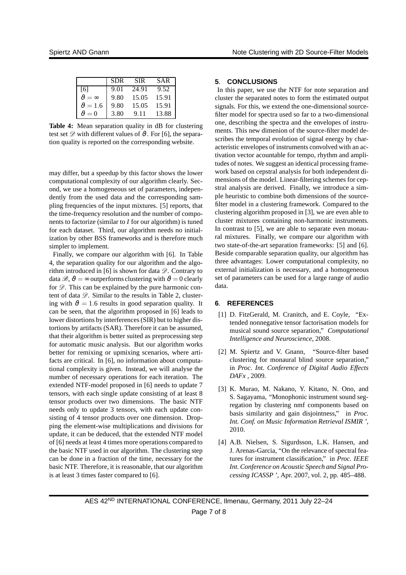|                       | <b>SDR</b> | <b>SIR</b> | <b>SAR</b> |
|-----------------------|------------|------------|------------|
| [6]                   | 9.01       | 24.91      | 9.52       |
| $v^{\theta} = \infty$ | 9.80       | 15.05      | 15.91      |
| $\vartheta = 1.6$     | 9.80       | 15.05      | 15.91      |
| $v^{\theta} = 0$      | 3.80       | 9.11       | 13.88      |

**Table 4:** Mean separation quality in dB for clustering test set  $\mathscr{D}$  with different values of  $\vartheta$ . For [6], the separation quality is reported on the corresponding website.

may differ, but a speedup by this factor shows the lower computational complexity of our algorithm clearly. Second, we use a homogeneous set of parameters, independently from the used data and the corresponding sampling frequencies of the input mixtures. [5] reports, that the time-frequency resolution and the number of components to factorize (similar to *I* for our algorithm) is tuned for each dataset. Third, our algorithm needs no initialization by other BSS frameworks and is therefore much simpler to implement.

Finally, we compare our algorithm with [6]. In Table 4, the separation quality for our algorithm and the algorithm introduced in [6] is shown for data  $\mathscr{D}$ . Contrary to data  $\mathscr{B}, \vartheta = \infty$  outperforms clustering with  $\vartheta = 0$  clearly for  $\mathscr{D}$ . This can be explained by the pure harmonic content of data  $\mathscr{D}$ . Similar to the results in Table 2, clustering with  $\vartheta = 1.6$  results in good separation quality. It can be seen, that the algorithm proposed in [6] leads to lower distortions by interferences (SIR) but to higher distortions by artifacts (SAR). Therefore it can be assumed, that their algorithm is better suited as preprocessing step for automatic music analysis. But our algorithm works better for remixing or upmixing scenarios, where artifacts are critical. In [6], no information about computational complexity is given. Instead, we will analyse the number of necessary operations for each iteration. The extended NTF-model proposed in [6] needs to update 7 tensors, with each single update consisting of at least 8 tensor products over two dimensions. The basic NTF needs only to update 3 tensors, with each update consisting of 4 tensor products over one dimension. Dropping the element-wise multiplications and divisions for update, it can be deduced, that the extended NTF model of [6] needs at least 4 times more operations compared to the basic NTF used in our algorithm. The clustering step can be done in a fraction of the time, necessary for the basic NTF. Therefore, it is reasonable, that our algorithm is at least 3 times faster compared to [6].

# **5**. **CONCLUSIONS**

In this paper, we use the NTF for note separation and cluster the separated notes to form the estimated output signals. For this, we extend the one-dimensional sourcefilter model for spectra used so far to a two-dimensional one, describing the spectra and the envelopes of instruments. This new dimenion of the source-filter model describes the temporal evolution of signal energy by characteristic envelopes of instruments convolved with an activation vector acountable for tempo, rhythm and amplitudes of notes. We suggest an identical processing framework based on cepstral analysis for both independent dimensions of the model. Linear-filtering schemes for cepstral analysis are derived. Finally, we introduce a simple heuristic to combine both dimensions of the sourcefilter model in a clustering framework. Compared to the clustering algorithm proposed in [3], we are even able to cluster mixtures containing non-harmonic instruments. In contrast to [5], we are able to separate even monaural mixtures. Finally, we compare our algorithm with two state-of-the-art separation frameworks: [5] and [6]. Beside comparable separation quality, our algorithm has three advantages: Lower computational complexity, no external initialization is necessary, and a homogeneous set of parameters can be used for a large range of audio data.

# **6**. **REFERENCES**

- [1] D. FitzGerald, M. Cranitch, and E. Coyle, "Extended nonnegative tensor factorisation models for musical sound source separation," *Computational Intelligence and Neuroscience*, 2008.
- [2] M. Spiertz and V. Gnann, "Source-filter based clustering for monaural blind source separation," in *Proc. Int. Conference of Digital Audio Effects DAFx* , 2009.
- [3] K. Murao, M. Nakano, Y. Kitano, N. Ono, and S. Sagayama, "Monophonic instrument sound segregation by clustering nmf components based on basis similarity and gain disjointness," in *Proc. Int. Conf. on Music Information Retrieval ISMIR '*, 2010.
- [4] A.B. Nielsen, S. Sigurdsson, L.K. Hansen, and J. Arenas-Garcia, "On the relevance of spectral features for instrument classification," in *Proc. IEEE Int. Conference on Acoustic Speech and Signal Processing ICASSP '*, Apr. 2007, vol. 2, pp. 485–488.